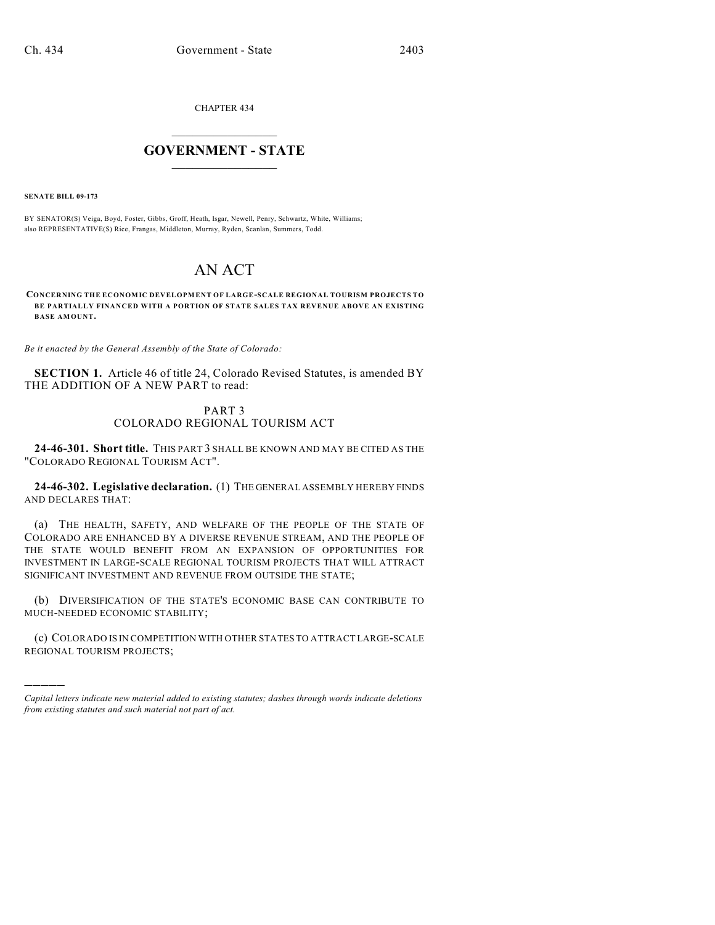CHAPTER 434

## $\mathcal{L}_\text{max}$  . The set of the set of the set of the set of the set of the set of the set of the set of the set of the set of the set of the set of the set of the set of the set of the set of the set of the set of the set **GOVERNMENT - STATE**  $\_$   $\_$   $\_$   $\_$   $\_$   $\_$   $\_$   $\_$   $\_$

**SENATE BILL 09-173**

)))))

BY SENATOR(S) Veiga, Boyd, Foster, Gibbs, Groff, Heath, Isgar, Newell, Penry, Schwartz, White, Williams; also REPRESENTATIVE(S) Rice, Frangas, Middleton, Murray, Ryden, Scanlan, Summers, Todd.

## AN ACT

**CONCERNING THE ECONOMIC DEVELOPMENT OF LARGE-SCALE REGIONAL TOURISM PROJECTS TO BE PARTIALLY FINANCED WITH A PORTION OF STATE SALES TAX REVENUE ABOVE AN EXISTING BASE AMOUNT.**

*Be it enacted by the General Assembly of the State of Colorado:*

**SECTION 1.** Article 46 of title 24, Colorado Revised Statutes, is amended BY THE ADDITION OF A NEW PART to read:

## PART 3 COLORADO REGIONAL TOURISM ACT

**24-46-301. Short title.** THIS PART 3 SHALL BE KNOWN AND MAY BE CITED AS THE "COLORADO REGIONAL TOURISM ACT".

**24-46-302. Legislative declaration.** (1) THE GENERAL ASSEMBLY HEREBY FINDS AND DECLARES THAT:

(a) THE HEALTH, SAFETY, AND WELFARE OF THE PEOPLE OF THE STATE OF COLORADO ARE ENHANCED BY A DIVERSE REVENUE STREAM, AND THE PEOPLE OF THE STATE WOULD BENEFIT FROM AN EXPANSION OF OPPORTUNITIES FOR INVESTMENT IN LARGE-SCALE REGIONAL TOURISM PROJECTS THAT WILL ATTRACT SIGNIFICANT INVESTMENT AND REVENUE FROM OUTSIDE THE STATE;

(b) DIVERSIFICATION OF THE STATE'S ECONOMIC BASE CAN CONTRIBUTE TO MUCH-NEEDED ECONOMIC STABILITY;

(c) COLORADO IS IN COMPETITION WITH OTHER STATES TO ATTRACT LARGE-SCALE REGIONAL TOURISM PROJECTS;

*Capital letters indicate new material added to existing statutes; dashes through words indicate deletions from existing statutes and such material not part of act.*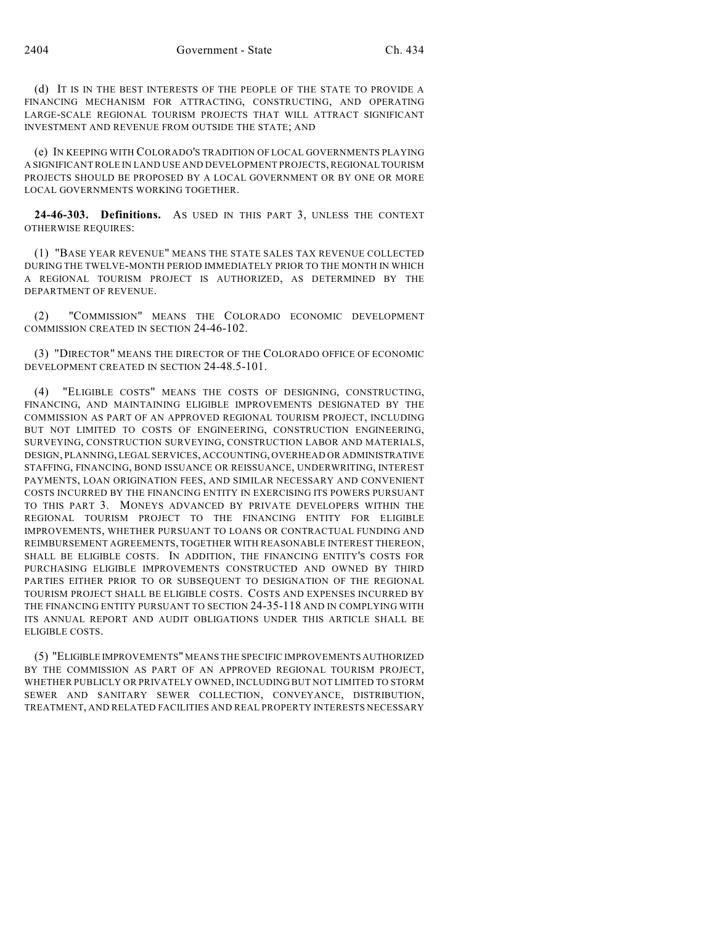(d) IT IS IN THE BEST INTERESTS OF THE PEOPLE OF THE STATE TO PROVIDE A FINANCING MECHANISM FOR ATTRACTING, CONSTRUCTING, AND OPERATING LARGE-SCALE REGIONAL TOURISM PROJECTS THAT WILL ATTRACT SIGNIFICANT INVESTMENT AND REVENUE FROM OUTSIDE THE STATE; AND

(e) IN KEEPING WITH COLORADO'S TRADITION OF LOCAL GOVERNMENTS PLAYING A SIGNIFICANT ROLE IN LAND USE AND DEVELOPMENT PROJECTS, REGIONAL TOURISM PROJECTS SHOULD BE PROPOSED BY A LOCAL GOVERNMENT OR BY ONE OR MORE LOCAL GOVERNMENTS WORKING TOGETHER.

**24-46-303. Definitions.** AS USED IN THIS PART 3, UNLESS THE CONTEXT OTHERWISE REQUIRES:

(1) "BASE YEAR REVENUE" MEANS THE STATE SALES TAX REVENUE COLLECTED DURING THE TWELVE-MONTH PERIOD IMMEDIATELY PRIOR TO THE MONTH IN WHICH A REGIONAL TOURISM PROJECT IS AUTHORIZED, AS DETERMINED BY THE DEPARTMENT OF REVENUE.

(2) "COMMISSION" MEANS THE COLORADO ECONOMIC DEVELOPMENT COMMISSION CREATED IN SECTION 24-46-102.

(3) "DIRECTOR" MEANS THE DIRECTOR OF THE COLORADO OFFICE OF ECONOMIC DEVELOPMENT CREATED IN SECTION 24-48.5-101.

(4) "ELIGIBLE COSTS" MEANS THE COSTS OF DESIGNING, CONSTRUCTING, FINANCING, AND MAINTAINING ELIGIBLE IMPROVEMENTS DESIGNATED BY THE COMMISSION AS PART OF AN APPROVED REGIONAL TOURISM PROJECT, INCLUDING BUT NOT LIMITED TO COSTS OF ENGINEERING, CONSTRUCTION ENGINEERING, SURVEYING, CONSTRUCTION SURVEYING, CONSTRUCTION LABOR AND MATERIALS, DESIGN, PLANNING, LEGAL SERVICES, ACCOUNTING, OVERHEAD OR ADMINISTRATIVE STAFFING, FINANCING, BOND ISSUANCE OR REISSUANCE, UNDERWRITING, INTEREST PAYMENTS, LOAN ORIGINATION FEES, AND SIMILAR NECESSARY AND CONVENIENT COSTS INCURRED BY THE FINANCING ENTITY IN EXERCISING ITS POWERS PURSUANT TO THIS PART 3. MONEYS ADVANCED BY PRIVATE DEVELOPERS WITHIN THE REGIONAL TOURISM PROJECT TO THE FINANCING ENTITY FOR ELIGIBLE IMPROVEMENTS, WHETHER PURSUANT TO LOANS OR CONTRACTUAL FUNDING AND REIMBURSEMENT AGREEMENTS, TOGETHER WITH REASONABLE INTEREST THEREON, SHALL BE ELIGIBLE COSTS. IN ADDITION, THE FINANCING ENTITY'S COSTS FOR PURCHASING ELIGIBLE IMPROVEMENTS CONSTRUCTED AND OWNED BY THIRD PARTIES EITHER PRIOR TO OR SUBSEQUENT TO DESIGNATION OF THE REGIONAL TOURISM PROJECT SHALL BE ELIGIBLE COSTS. COSTS AND EXPENSES INCURRED BY THE FINANCING ENTITY PURSUANT TO SECTION 24-35-118 AND IN COMPLYING WITH ITS ANNUAL REPORT AND AUDIT OBLIGATIONS UNDER THIS ARTICLE SHALL BE ELIGIBLE COSTS.

(5) "ELIGIBLE IMPROVEMENTS" MEANS THE SPECIFIC IMPROVEMENTS AUTHORIZED BY THE COMMISSION AS PART OF AN APPROVED REGIONAL TOURISM PROJECT, WHETHER PUBLICLY OR PRIVATELY OWNED, INCLUDING BUT NOT LIMITED TO STORM SEWER AND SANITARY SEWER COLLECTION, CONVEYANCE, DISTRIBUTION, TREATMENT, AND RELATED FACILITIES AND REAL PROPERTY INTERESTS NECESSARY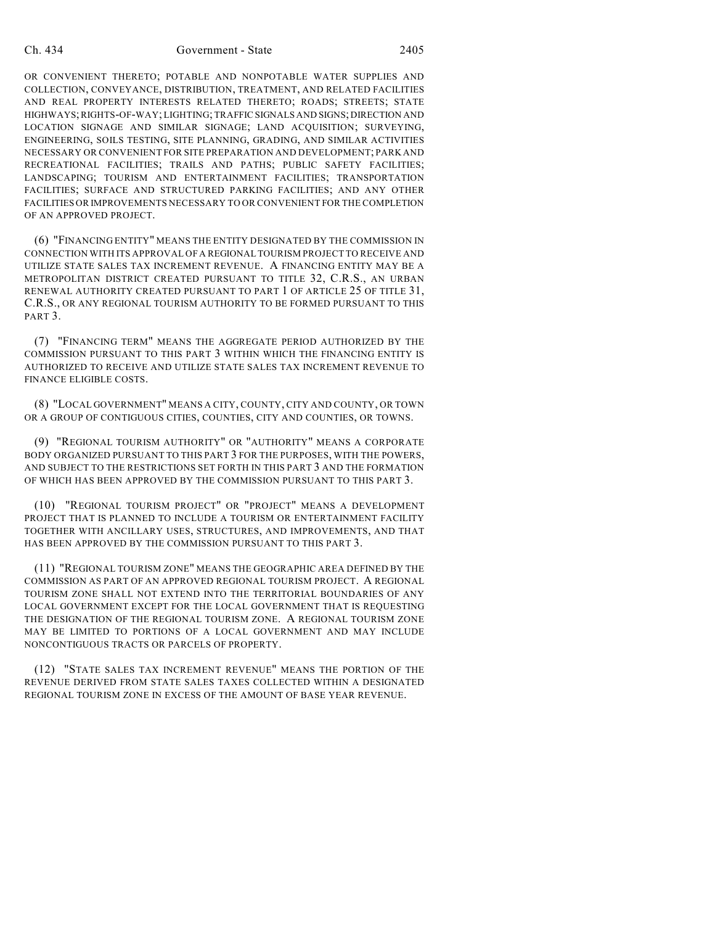OR CONVENIENT THERETO; POTABLE AND NONPOTABLE WATER SUPPLIES AND COLLECTION, CONVEYANCE, DISTRIBUTION, TREATMENT, AND RELATED FACILITIES AND REAL PROPERTY INTERESTS RELATED THERETO; ROADS; STREETS; STATE HIGHWAYS; RIGHTS-OF-WAY; LIGHTING; TRAFFIC SIGNALS AND SIGNS; DIRECTION AND LOCATION SIGNAGE AND SIMILAR SIGNAGE; LAND ACQUISITION; SURVEYING, ENGINEERING, SOILS TESTING, SITE PLANNING, GRADING, AND SIMILAR ACTIVITIES NECESSARY OR CONVENIENT FOR SITE PREPARATION AND DEVELOPMENT; PARK AND RECREATIONAL FACILITIES; TRAILS AND PATHS; PUBLIC SAFETY FACILITIES; LANDSCAPING; TOURISM AND ENTERTAINMENT FACILITIES; TRANSPORTATION FACILITIES; SURFACE AND STRUCTURED PARKING FACILITIES; AND ANY OTHER FACILITIES OR IMPROVEMENTS NECESSARY TO OR CONVENIENT FOR THE COMPLETION OF AN APPROVED PROJECT.

(6) "FINANCING ENTITY" MEANS THE ENTITY DESIGNATED BY THE COMMISSION IN CONNECTION WITH ITS APPROVAL OF A REGIONAL TOURISM PROJECT TO RECEIVE AND UTILIZE STATE SALES TAX INCREMENT REVENUE. A FINANCING ENTITY MAY BE A METROPOLITAN DISTRICT CREATED PURSUANT TO TITLE 32, C.R.S., AN URBAN RENEWAL AUTHORITY CREATED PURSUANT TO PART 1 OF ARTICLE 25 OF TITLE 31, C.R.S., OR ANY REGIONAL TOURISM AUTHORITY TO BE FORMED PURSUANT TO THIS PART<sub>3</sub>.

(7) "FINANCING TERM" MEANS THE AGGREGATE PERIOD AUTHORIZED BY THE COMMISSION PURSUANT TO THIS PART 3 WITHIN WHICH THE FINANCING ENTITY IS AUTHORIZED TO RECEIVE AND UTILIZE STATE SALES TAX INCREMENT REVENUE TO FINANCE ELIGIBLE COSTS.

(8) "LOCAL GOVERNMENT" MEANS A CITY, COUNTY, CITY AND COUNTY, OR TOWN OR A GROUP OF CONTIGUOUS CITIES, COUNTIES, CITY AND COUNTIES, OR TOWNS.

(9) "REGIONAL TOURISM AUTHORITY" OR "AUTHORITY" MEANS A CORPORATE BODY ORGANIZED PURSUANT TO THIS PART 3 FOR THE PURPOSES, WITH THE POWERS, AND SUBJECT TO THE RESTRICTIONS SET FORTH IN THIS PART 3 AND THE FORMATION OF WHICH HAS BEEN APPROVED BY THE COMMISSION PURSUANT TO THIS PART 3.

(10) "REGIONAL TOURISM PROJECT" OR "PROJECT" MEANS A DEVELOPMENT PROJECT THAT IS PLANNED TO INCLUDE A TOURISM OR ENTERTAINMENT FACILITY TOGETHER WITH ANCILLARY USES, STRUCTURES, AND IMPROVEMENTS, AND THAT HAS BEEN APPROVED BY THE COMMISSION PURSUANT TO THIS PART 3.

(11) "REGIONAL TOURISM ZONE" MEANS THE GEOGRAPHIC AREA DEFINED BY THE COMMISSION AS PART OF AN APPROVED REGIONAL TOURISM PROJECT. A REGIONAL TOURISM ZONE SHALL NOT EXTEND INTO THE TERRITORIAL BOUNDARIES OF ANY LOCAL GOVERNMENT EXCEPT FOR THE LOCAL GOVERNMENT THAT IS REQUESTING THE DESIGNATION OF THE REGIONAL TOURISM ZONE. A REGIONAL TOURISM ZONE MAY BE LIMITED TO PORTIONS OF A LOCAL GOVERNMENT AND MAY INCLUDE NONCONTIGUOUS TRACTS OR PARCELS OF PROPERTY.

(12) "STATE SALES TAX INCREMENT REVENUE" MEANS THE PORTION OF THE REVENUE DERIVED FROM STATE SALES TAXES COLLECTED WITHIN A DESIGNATED REGIONAL TOURISM ZONE IN EXCESS OF THE AMOUNT OF BASE YEAR REVENUE.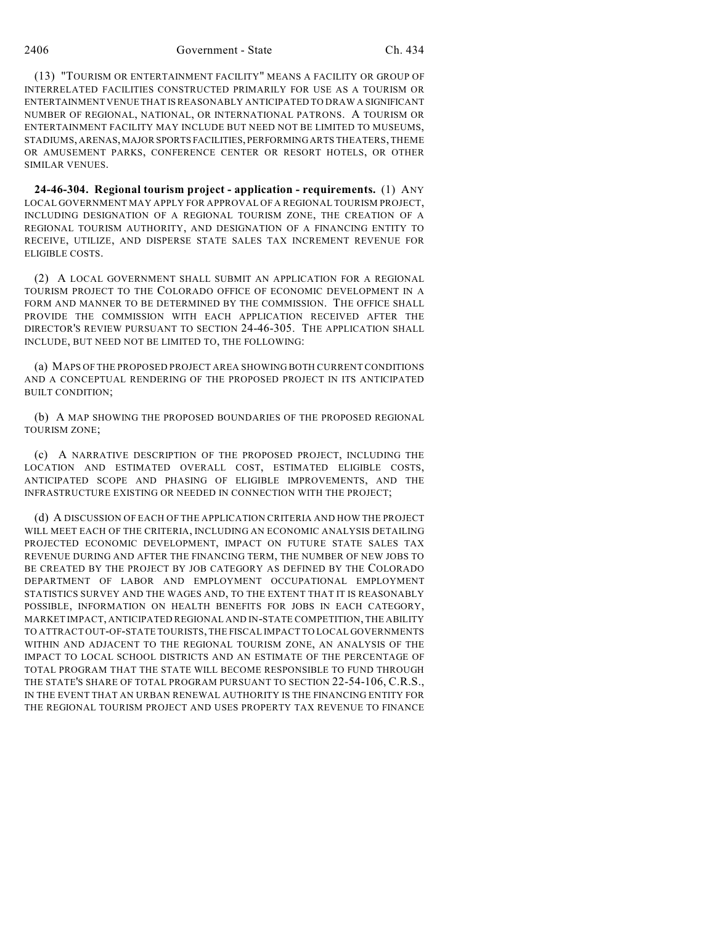(13) "TOURISM OR ENTERTAINMENT FACILITY" MEANS A FACILITY OR GROUP OF INTERRELATED FACILITIES CONSTRUCTED PRIMARILY FOR USE AS A TOURISM OR ENTERTAINMENT VENUE THAT IS REASONABLY ANTICIPATED TO DRAW A SIGNIFICANT NUMBER OF REGIONAL, NATIONAL, OR INTERNATIONAL PATRONS. A TOURISM OR ENTERTAINMENT FACILITY MAY INCLUDE BUT NEED NOT BE LIMITED TO MUSEUMS, STADIUMS, ARENAS, MAJOR SPORTS FACILITIES, PERFORMING ARTS THEATERS, THEME OR AMUSEMENT PARKS, CONFERENCE CENTER OR RESORT HOTELS, OR OTHER SIMILAR VENUES.

**24-46-304. Regional tourism project - application - requirements.** (1) ANY LOCAL GOVERNMENT MAY APPLY FOR APPROVAL OF A REGIONAL TOURISM PROJECT, INCLUDING DESIGNATION OF A REGIONAL TOURISM ZONE, THE CREATION OF A REGIONAL TOURISM AUTHORITY, AND DESIGNATION OF A FINANCING ENTITY TO RECEIVE, UTILIZE, AND DISPERSE STATE SALES TAX INCREMENT REVENUE FOR ELIGIBLE COSTS.

(2) A LOCAL GOVERNMENT SHALL SUBMIT AN APPLICATION FOR A REGIONAL TOURISM PROJECT TO THE COLORADO OFFICE OF ECONOMIC DEVELOPMENT IN A FORM AND MANNER TO BE DETERMINED BY THE COMMISSION. THE OFFICE SHALL PROVIDE THE COMMISSION WITH EACH APPLICATION RECEIVED AFTER THE DIRECTOR'S REVIEW PURSUANT TO SECTION 24-46-305. THE APPLICATION SHALL INCLUDE, BUT NEED NOT BE LIMITED TO, THE FOLLOWING:

(a) MAPS OF THE PROPOSED PROJECT AREA SHOWING BOTH CURRENT CONDITIONS AND A CONCEPTUAL RENDERING OF THE PROPOSED PROJECT IN ITS ANTICIPATED BUILT CONDITION;

(b) A MAP SHOWING THE PROPOSED BOUNDARIES OF THE PROPOSED REGIONAL TOURISM ZONE;

(c) A NARRATIVE DESCRIPTION OF THE PROPOSED PROJECT, INCLUDING THE LOCATION AND ESTIMATED OVERALL COST, ESTIMATED ELIGIBLE COSTS, ANTICIPATED SCOPE AND PHASING OF ELIGIBLE IMPROVEMENTS, AND THE INFRASTRUCTURE EXISTING OR NEEDED IN CONNECTION WITH THE PROJECT;

(d) A DISCUSSION OF EACH OF THE APPLICATION CRITERIA AND HOW THE PROJECT WILL MEET EACH OF THE CRITERIA, INCLUDING AN ECONOMIC ANALYSIS DETAILING PROJECTED ECONOMIC DEVELOPMENT, IMPACT ON FUTURE STATE SALES TAX REVENUE DURING AND AFTER THE FINANCING TERM, THE NUMBER OF NEW JOBS TO BE CREATED BY THE PROJECT BY JOB CATEGORY AS DEFINED BY THE COLORADO DEPARTMENT OF LABOR AND EMPLOYMENT OCCUPATIONAL EMPLOYMENT STATISTICS SURVEY AND THE WAGES AND, TO THE EXTENT THAT IT IS REASONABLY POSSIBLE, INFORMATION ON HEALTH BENEFITS FOR JOBS IN EACH CATEGORY, MARKET IMPACT, ANTICIPATED REGIONAL AND IN-STATE COMPETITION, THE ABILITY TO ATTRACT OUT-OF-STATE TOURISTS, THE FISCAL IMPACT TO LOCAL GOVERNMENTS WITHIN AND ADJACENT TO THE REGIONAL TOURISM ZONE, AN ANALYSIS OF THE IMPACT TO LOCAL SCHOOL DISTRICTS AND AN ESTIMATE OF THE PERCENTAGE OF TOTAL PROGRAM THAT THE STATE WILL BECOME RESPONSIBLE TO FUND THROUGH THE STATE'S SHARE OF TOTAL PROGRAM PURSUANT TO SECTION 22-54-106, C.R.S., IN THE EVENT THAT AN URBAN RENEWAL AUTHORITY IS THE FINANCING ENTITY FOR THE REGIONAL TOURISM PROJECT AND USES PROPERTY TAX REVENUE TO FINANCE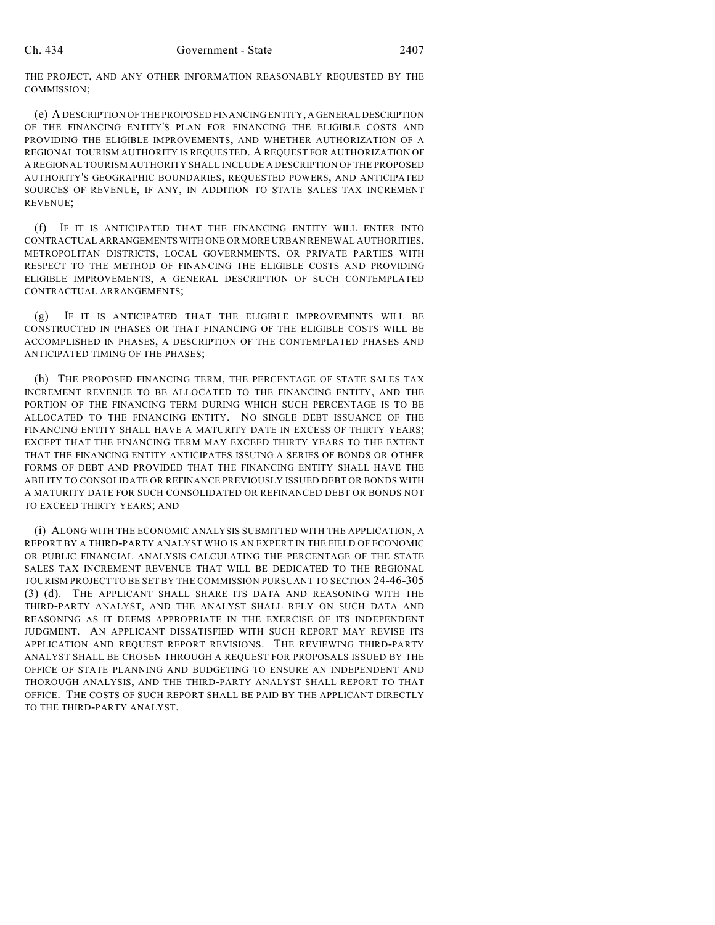THE PROJECT, AND ANY OTHER INFORMATION REASONABLY REQUESTED BY THE COMMISSION;

(e) A DESCRIPTION OF THE PROPOSED FINANCING ENTITY, A GENERAL DESCRIPTION OF THE FINANCING ENTITY'S PLAN FOR FINANCING THE ELIGIBLE COSTS AND PROVIDING THE ELIGIBLE IMPROVEMENTS, AND WHETHER AUTHORIZATION OF A REGIONAL TOURISM AUTHORITY IS REQUESTED. A REQUEST FOR AUTHORIZATION OF A REGIONAL TOURISM AUTHORITY SHALL INCLUDE A DESCRIPTION OF THE PROPOSED AUTHORITY'S GEOGRAPHIC BOUNDARIES, REQUESTED POWERS, AND ANTICIPATED SOURCES OF REVENUE, IF ANY, IN ADDITION TO STATE SALES TAX INCREMENT REVENUE;

(f) IF IT IS ANTICIPATED THAT THE FINANCING ENTITY WILL ENTER INTO CONTRACTUAL ARRANGEMENTS WITH ONE OR MORE URBAN RENEWAL AUTHORITIES, METROPOLITAN DISTRICTS, LOCAL GOVERNMENTS, OR PRIVATE PARTIES WITH RESPECT TO THE METHOD OF FINANCING THE ELIGIBLE COSTS AND PROVIDING ELIGIBLE IMPROVEMENTS, A GENERAL DESCRIPTION OF SUCH CONTEMPLATED CONTRACTUAL ARRANGEMENTS;

(g) IF IT IS ANTICIPATED THAT THE ELIGIBLE IMPROVEMENTS WILL BE CONSTRUCTED IN PHASES OR THAT FINANCING OF THE ELIGIBLE COSTS WILL BE ACCOMPLISHED IN PHASES, A DESCRIPTION OF THE CONTEMPLATED PHASES AND ANTICIPATED TIMING OF THE PHASES;

(h) THE PROPOSED FINANCING TERM, THE PERCENTAGE OF STATE SALES TAX INCREMENT REVENUE TO BE ALLOCATED TO THE FINANCING ENTITY, AND THE PORTION OF THE FINANCING TERM DURING WHICH SUCH PERCENTAGE IS TO BE ALLOCATED TO THE FINANCING ENTITY. NO SINGLE DEBT ISSUANCE OF THE FINANCING ENTITY SHALL HAVE A MATURITY DATE IN EXCESS OF THIRTY YEARS; EXCEPT THAT THE FINANCING TERM MAY EXCEED THIRTY YEARS TO THE EXTENT THAT THE FINANCING ENTITY ANTICIPATES ISSUING A SERIES OF BONDS OR OTHER FORMS OF DEBT AND PROVIDED THAT THE FINANCING ENTITY SHALL HAVE THE ABILITY TO CONSOLIDATE OR REFINANCE PREVIOUSLY ISSUED DEBT OR BONDS WITH A MATURITY DATE FOR SUCH CONSOLIDATED OR REFINANCED DEBT OR BONDS NOT TO EXCEED THIRTY YEARS; AND

(i) ALONG WITH THE ECONOMIC ANALYSIS SUBMITTED WITH THE APPLICATION, A REPORT BY A THIRD-PARTY ANALYST WHO IS AN EXPERT IN THE FIELD OF ECONOMIC OR PUBLIC FINANCIAL ANALYSIS CALCULATING THE PERCENTAGE OF THE STATE SALES TAX INCREMENT REVENUE THAT WILL BE DEDICATED TO THE REGIONAL TOURISM PROJECT TO BE SET BY THE COMMISSION PURSUANT TO SECTION 24-46-305 (3) (d). THE APPLICANT SHALL SHARE ITS DATA AND REASONING WITH THE THIRD-PARTY ANALYST, AND THE ANALYST SHALL RELY ON SUCH DATA AND REASONING AS IT DEEMS APPROPRIATE IN THE EXERCISE OF ITS INDEPENDENT JUDGMENT. AN APPLICANT DISSATISFIED WITH SUCH REPORT MAY REVISE ITS APPLICATION AND REQUEST REPORT REVISIONS. THE REVIEWING THIRD-PARTY ANALYST SHALL BE CHOSEN THROUGH A REQUEST FOR PROPOSALS ISSUED BY THE OFFICE OF STATE PLANNING AND BUDGETING TO ENSURE AN INDEPENDENT AND THOROUGH ANALYSIS, AND THE THIRD-PARTY ANALYST SHALL REPORT TO THAT OFFICE. THE COSTS OF SUCH REPORT SHALL BE PAID BY THE APPLICANT DIRECTLY TO THE THIRD-PARTY ANALYST.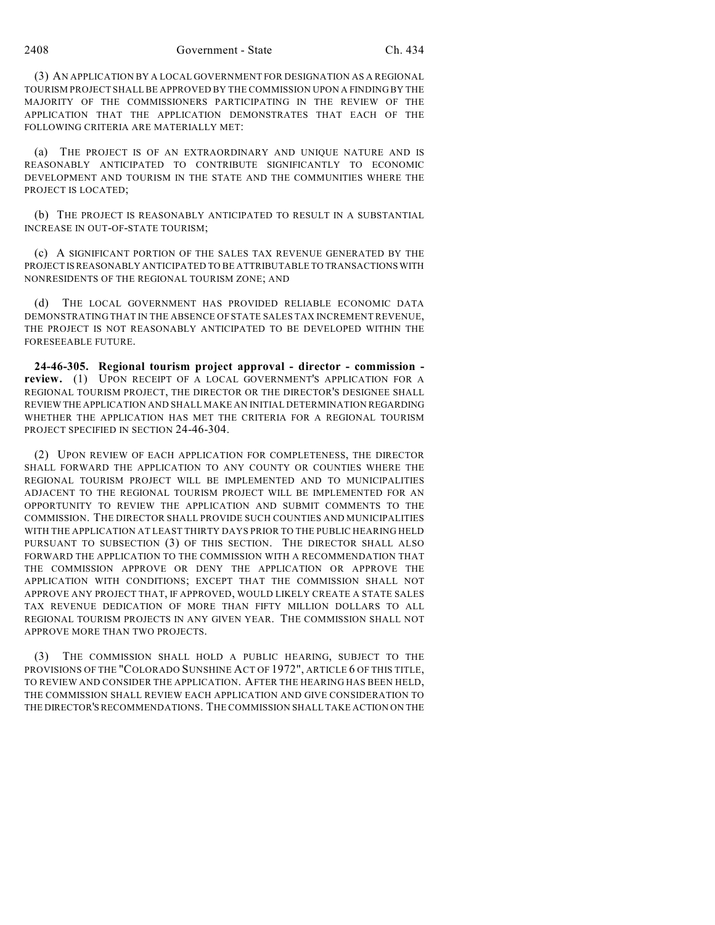(3) AN APPLICATION BY A LOCAL GOVERNMENT FOR DESIGNATION AS A REGIONAL TOURISM PROJECT SHALL BE APPROVED BY THE COMMISSION UPON A FINDING BY THE MAJORITY OF THE COMMISSIONERS PARTICIPATING IN THE REVIEW OF THE APPLICATION THAT THE APPLICATION DEMONSTRATES THAT EACH OF THE FOLLOWING CRITERIA ARE MATERIALLY MET:

(a) THE PROJECT IS OF AN EXTRAORDINARY AND UNIQUE NATURE AND IS REASONABLY ANTICIPATED TO CONTRIBUTE SIGNIFICANTLY TO ECONOMIC DEVELOPMENT AND TOURISM IN THE STATE AND THE COMMUNITIES WHERE THE PROJECT IS LOCATED;

(b) THE PROJECT IS REASONABLY ANTICIPATED TO RESULT IN A SUBSTANTIAL INCREASE IN OUT-OF-STATE TOURISM;

(c) A SIGNIFICANT PORTION OF THE SALES TAX REVENUE GENERATED BY THE PROJECT IS REASONABLY ANTICIPATED TO BE ATTRIBUTABLE TO TRANSACTIONS WITH NONRESIDENTS OF THE REGIONAL TOURISM ZONE; AND

(d) THE LOCAL GOVERNMENT HAS PROVIDED RELIABLE ECONOMIC DATA DEMONSTRATING THAT IN THE ABSENCE OF STATE SALES TAX INCREMENT REVENUE, THE PROJECT IS NOT REASONABLY ANTICIPATED TO BE DEVELOPED WITHIN THE FORESEEABLE FUTURE.

**24-46-305. Regional tourism project approval - director - commission review.** (1) UPON RECEIPT OF A LOCAL GOVERNMENT'S APPLICATION FOR A REGIONAL TOURISM PROJECT, THE DIRECTOR OR THE DIRECTOR'S DESIGNEE SHALL REVIEW THE APPLICATION AND SHALL MAKE AN INITIAL DETERMINATION REGARDING WHETHER THE APPLICATION HAS MET THE CRITERIA FOR A REGIONAL TOURISM PROJECT SPECIFIED IN SECTION 24-46-304.

(2) UPON REVIEW OF EACH APPLICATION FOR COMPLETENESS, THE DIRECTOR SHALL FORWARD THE APPLICATION TO ANY COUNTY OR COUNTIES WHERE THE REGIONAL TOURISM PROJECT WILL BE IMPLEMENTED AND TO MUNICIPALITIES ADJACENT TO THE REGIONAL TOURISM PROJECT WILL BE IMPLEMENTED FOR AN OPPORTUNITY TO REVIEW THE APPLICATION AND SUBMIT COMMENTS TO THE COMMISSION. THE DIRECTOR SHALL PROVIDE SUCH COUNTIES AND MUNICIPALITIES WITH THE APPLICATION AT LEAST THIRTY DAYS PRIOR TO THE PUBLIC HEARING HELD PURSUANT TO SUBSECTION (3) OF THIS SECTION. THE DIRECTOR SHALL ALSO FORWARD THE APPLICATION TO THE COMMISSION WITH A RECOMMENDATION THAT THE COMMISSION APPROVE OR DENY THE APPLICATION OR APPROVE THE APPLICATION WITH CONDITIONS; EXCEPT THAT THE COMMISSION SHALL NOT APPROVE ANY PROJECT THAT, IF APPROVED, WOULD LIKELY CREATE A STATE SALES TAX REVENUE DEDICATION OF MORE THAN FIFTY MILLION DOLLARS TO ALL REGIONAL TOURISM PROJECTS IN ANY GIVEN YEAR. THE COMMISSION SHALL NOT APPROVE MORE THAN TWO PROJECTS.

(3) THE COMMISSION SHALL HOLD A PUBLIC HEARING, SUBJECT TO THE PROVISIONS OF THE "COLORADO SUNSHINE ACT OF 1972", ARTICLE 6 OF THIS TITLE, TO REVIEW AND CONSIDER THE APPLICATION. AFTER THE HEARING HAS BEEN HELD, THE COMMISSION SHALL REVIEW EACH APPLICATION AND GIVE CONSIDERATION TO THE DIRECTOR'S RECOMMENDATIONS. THE COMMISSION SHALL TAKE ACTION ON THE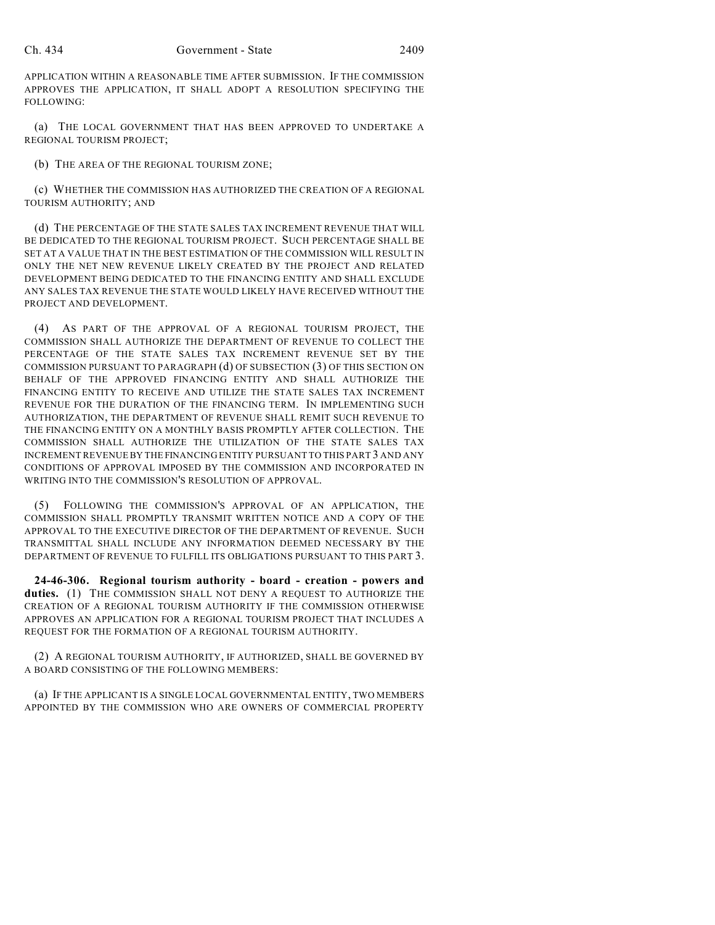APPLICATION WITHIN A REASONABLE TIME AFTER SUBMISSION. IF THE COMMISSION APPROVES THE APPLICATION, IT SHALL ADOPT A RESOLUTION SPECIFYING THE FOLLOWING:

(a) THE LOCAL GOVERNMENT THAT HAS BEEN APPROVED TO UNDERTAKE A REGIONAL TOURISM PROJECT;

(b) THE AREA OF THE REGIONAL TOURISM ZONE;

(c) WHETHER THE COMMISSION HAS AUTHORIZED THE CREATION OF A REGIONAL TOURISM AUTHORITY; AND

(d) THE PERCENTAGE OF THE STATE SALES TAX INCREMENT REVENUE THAT WILL BE DEDICATED TO THE REGIONAL TOURISM PROJECT. SUCH PERCENTAGE SHALL BE SET AT A VALUE THAT IN THE BEST ESTIMATION OF THE COMMISSION WILL RESULT IN ONLY THE NET NEW REVENUE LIKELY CREATED BY THE PROJECT AND RELATED DEVELOPMENT BEING DEDICATED TO THE FINANCING ENTITY AND SHALL EXCLUDE ANY SALES TAX REVENUE THE STATE WOULD LIKELY HAVE RECEIVED WITHOUT THE PROJECT AND DEVELOPMENT.

(4) AS PART OF THE APPROVAL OF A REGIONAL TOURISM PROJECT, THE COMMISSION SHALL AUTHORIZE THE DEPARTMENT OF REVENUE TO COLLECT THE PERCENTAGE OF THE STATE SALES TAX INCREMENT REVENUE SET BY THE COMMISSION PURSUANT TO PARAGRAPH (d) OF SUBSECTION (3) OF THIS SECTION ON BEHALF OF THE APPROVED FINANCING ENTITY AND SHALL AUTHORIZE THE FINANCING ENTITY TO RECEIVE AND UTILIZE THE STATE SALES TAX INCREMENT REVENUE FOR THE DURATION OF THE FINANCING TERM. IN IMPLEMENTING SUCH AUTHORIZATION, THE DEPARTMENT OF REVENUE SHALL REMIT SUCH REVENUE TO THE FINANCING ENTITY ON A MONTHLY BASIS PROMPTLY AFTER COLLECTION. THE COMMISSION SHALL AUTHORIZE THE UTILIZATION OF THE STATE SALES TAX INCREMENT REVENUE BY THE FINANCING ENTITY PURSUANT TO THIS PART 3 AND ANY CONDITIONS OF APPROVAL IMPOSED BY THE COMMISSION AND INCORPORATED IN WRITING INTO THE COMMISSION'S RESOLUTION OF APPROVAL.

FOLLOWING THE COMMISSION'S APPROVAL OF AN APPLICATION, THE COMMISSION SHALL PROMPTLY TRANSMIT WRITTEN NOTICE AND A COPY OF THE APPROVAL TO THE EXECUTIVE DIRECTOR OF THE DEPARTMENT OF REVENUE. SUCH TRANSMITTAL SHALL INCLUDE ANY INFORMATION DEEMED NECESSARY BY THE DEPARTMENT OF REVENUE TO FULFILL ITS OBLIGATIONS PURSUANT TO THIS PART 3.

**24-46-306. Regional tourism authority - board - creation - powers and duties.** (1) THE COMMISSION SHALL NOT DENY A REQUEST TO AUTHORIZE THE CREATION OF A REGIONAL TOURISM AUTHORITY IF THE COMMISSION OTHERWISE APPROVES AN APPLICATION FOR A REGIONAL TOURISM PROJECT THAT INCLUDES A REQUEST FOR THE FORMATION OF A REGIONAL TOURISM AUTHORITY.

(2) A REGIONAL TOURISM AUTHORITY, IF AUTHORIZED, SHALL BE GOVERNED BY A BOARD CONSISTING OF THE FOLLOWING MEMBERS:

(a) IF THE APPLICANT IS A SINGLE LOCAL GOVERNMENTAL ENTITY, TWO MEMBERS APPOINTED BY THE COMMISSION WHO ARE OWNERS OF COMMERCIAL PROPERTY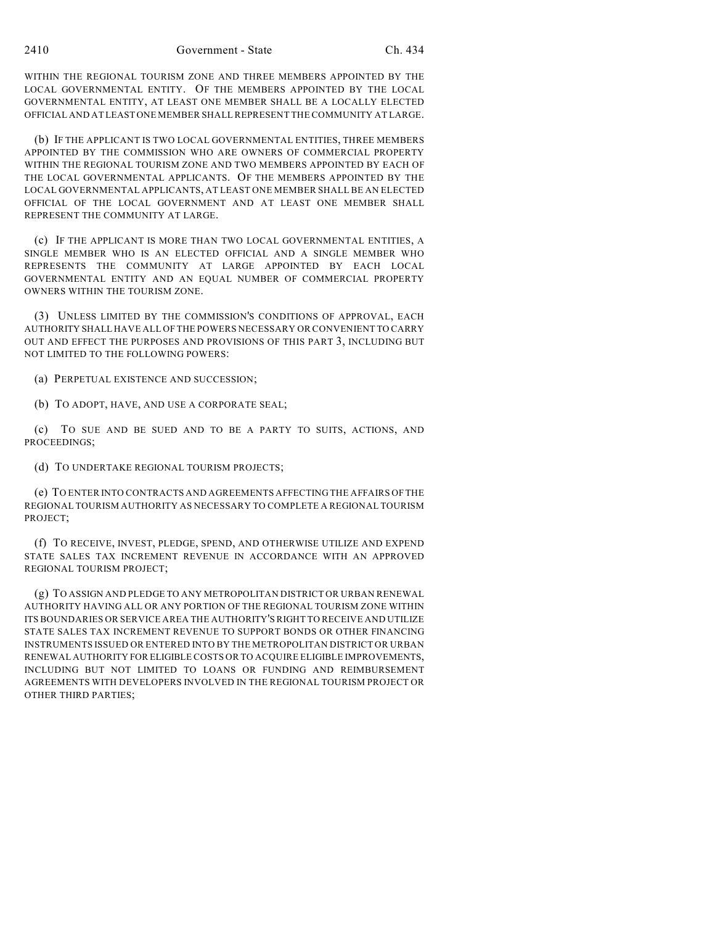WITHIN THE REGIONAL TOURISM ZONE AND THREE MEMBERS APPOINTED BY THE LOCAL GOVERNMENTAL ENTITY. OF THE MEMBERS APPOINTED BY THE LOCAL GOVERNMENTAL ENTITY, AT LEAST ONE MEMBER SHALL BE A LOCALLY ELECTED OFFICIAL AND AT LEAST ONE MEMBER SHALL REPRESENT THE COMMUNITY AT LARGE.

(b) IF THE APPLICANT IS TWO LOCAL GOVERNMENTAL ENTITIES, THREE MEMBERS APPOINTED BY THE COMMISSION WHO ARE OWNERS OF COMMERCIAL PROPERTY WITHIN THE REGIONAL TOURISM ZONE AND TWO MEMBERS APPOINTED BY EACH OF THE LOCAL GOVERNMENTAL APPLICANTS. OF THE MEMBERS APPOINTED BY THE LOCAL GOVERNMENTAL APPLICANTS, AT LEAST ONE MEMBER SHALL BE AN ELECTED OFFICIAL OF THE LOCAL GOVERNMENT AND AT LEAST ONE MEMBER SHALL REPRESENT THE COMMUNITY AT LARGE.

(c) IF THE APPLICANT IS MORE THAN TWO LOCAL GOVERNMENTAL ENTITIES, A SINGLE MEMBER WHO IS AN ELECTED OFFICIAL AND A SINGLE MEMBER WHO REPRESENTS THE COMMUNITY AT LARGE APPOINTED BY EACH LOCAL GOVERNMENTAL ENTITY AND AN EQUAL NUMBER OF COMMERCIAL PROPERTY OWNERS WITHIN THE TOURISM ZONE.

(3) UNLESS LIMITED BY THE COMMISSION'S CONDITIONS OF APPROVAL, EACH AUTHORITY SHALL HAVE ALL OF THE POWERS NECESSARY OR CONVENIENT TO CARRY OUT AND EFFECT THE PURPOSES AND PROVISIONS OF THIS PART 3, INCLUDING BUT NOT LIMITED TO THE FOLLOWING POWERS:

(a) PERPETUAL EXISTENCE AND SUCCESSION;

(b) TO ADOPT, HAVE, AND USE A CORPORATE SEAL;

(c) TO SUE AND BE SUED AND TO BE A PARTY TO SUITS, ACTIONS, AND PROCEEDINGS;

(d) TO UNDERTAKE REGIONAL TOURISM PROJECTS;

(e) TO ENTER INTO CONTRACTS AND AGREEMENTS AFFECTING THE AFFAIRS OF THE REGIONAL TOURISM AUTHORITY AS NECESSARY TO COMPLETE A REGIONAL TOURISM PROJECT;

(f) TO RECEIVE, INVEST, PLEDGE, SPEND, AND OTHERWISE UTILIZE AND EXPEND STATE SALES TAX INCREMENT REVENUE IN ACCORDANCE WITH AN APPROVED REGIONAL TOURISM PROJECT;

(g) TO ASSIGN AND PLEDGE TO ANY METROPOLITAN DISTRICT OR URBAN RENEWAL AUTHORITY HAVING ALL OR ANY PORTION OF THE REGIONAL TOURISM ZONE WITHIN ITS BOUNDARIES OR SERVICE AREA THE AUTHORITY'S RIGHT TO RECEIVE AND UTILIZE STATE SALES TAX INCREMENT REVENUE TO SUPPORT BONDS OR OTHER FINANCING INSTRUMENTS ISSUED OR ENTERED INTO BY THE METROPOLITAN DISTRICT OR URBAN RENEWAL AUTHORITY FOR ELIGIBLE COSTS OR TO ACQUIRE ELIGIBLE IMPROVEMENTS, INCLUDING BUT NOT LIMITED TO LOANS OR FUNDING AND REIMBURSEMENT AGREEMENTS WITH DEVELOPERS INVOLVED IN THE REGIONAL TOURISM PROJECT OR OTHER THIRD PARTIES;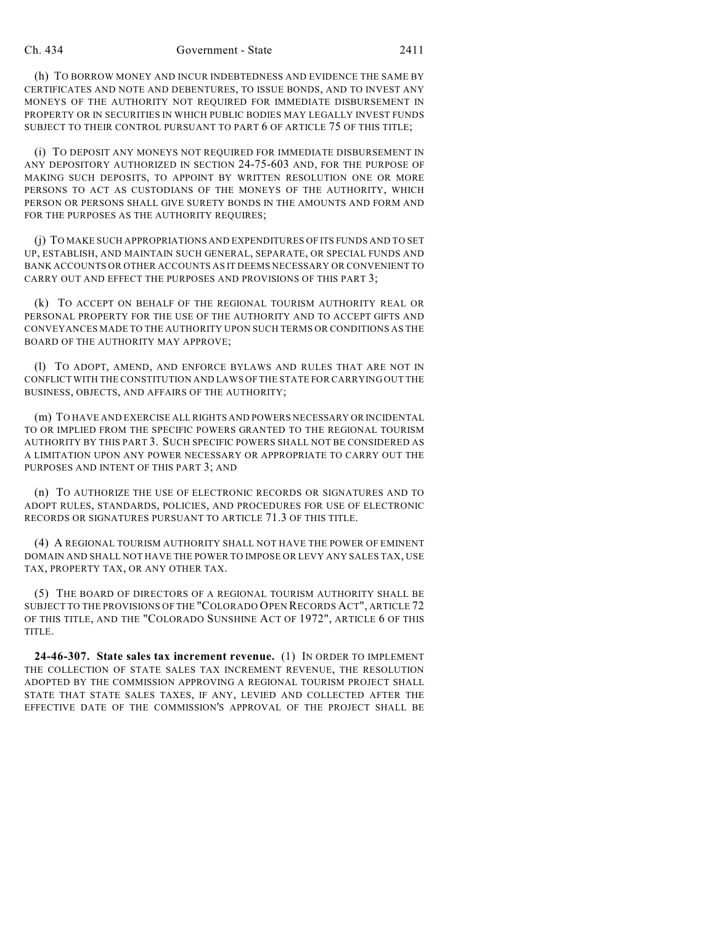(h) TO BORROW MONEY AND INCUR INDEBTEDNESS AND EVIDENCE THE SAME BY CERTIFICATES AND NOTE AND DEBENTURES, TO ISSUE BONDS, AND TO INVEST ANY MONEYS OF THE AUTHORITY NOT REQUIRED FOR IMMEDIATE DISBURSEMENT IN PROPERTY OR IN SECURITIES IN WHICH PUBLIC BODIES MAY LEGALLY INVEST FUNDS SUBJECT TO THEIR CONTROL PURSUANT TO PART 6 OF ARTICLE 75 OF THIS TITLE;

(i) TO DEPOSIT ANY MONEYS NOT REQUIRED FOR IMMEDIATE DISBURSEMENT IN ANY DEPOSITORY AUTHORIZED IN SECTION 24-75-603 AND, FOR THE PURPOSE OF MAKING SUCH DEPOSITS, TO APPOINT BY WRITTEN RESOLUTION ONE OR MORE PERSONS TO ACT AS CUSTODIANS OF THE MONEYS OF THE AUTHORITY, WHICH PERSON OR PERSONS SHALL GIVE SURETY BONDS IN THE AMOUNTS AND FORM AND FOR THE PURPOSES AS THE AUTHORITY REQUIRES;

(j) TO MAKE SUCH APPROPRIATIONS AND EXPENDITURES OF ITS FUNDS AND TO SET UP, ESTABLISH, AND MAINTAIN SUCH GENERAL, SEPARATE, OR SPECIAL FUNDS AND BANK ACCOUNTS OR OTHER ACCOUNTS AS IT DEEMS NECESSARY OR CONVENIENT TO CARRY OUT AND EFFECT THE PURPOSES AND PROVISIONS OF THIS PART 3;

(k) TO ACCEPT ON BEHALF OF THE REGIONAL TOURISM AUTHORITY REAL OR PERSONAL PROPERTY FOR THE USE OF THE AUTHORITY AND TO ACCEPT GIFTS AND CONVEYANCES MADE TO THE AUTHORITY UPON SUCH TERMS OR CONDITIONS AS THE BOARD OF THE AUTHORITY MAY APPROVE;

(l) TO ADOPT, AMEND, AND ENFORCE BYLAWS AND RULES THAT ARE NOT IN CONFLICT WITH THE CONSTITUTION AND LAWS OF THE STATE FOR CARRYING OUT THE BUSINESS, OBJECTS, AND AFFAIRS OF THE AUTHORITY;

(m) TO HAVE AND EXERCISE ALL RIGHTS AND POWERS NECESSARY OR INCIDENTAL TO OR IMPLIED FROM THE SPECIFIC POWERS GRANTED TO THE REGIONAL TOURISM AUTHORITY BY THIS PART 3. SUCH SPECIFIC POWERS SHALL NOT BE CONSIDERED AS A LIMITATION UPON ANY POWER NECESSARY OR APPROPRIATE TO CARRY OUT THE PURPOSES AND INTENT OF THIS PART 3; AND

(n) TO AUTHORIZE THE USE OF ELECTRONIC RECORDS OR SIGNATURES AND TO ADOPT RULES, STANDARDS, POLICIES, AND PROCEDURES FOR USE OF ELECTRONIC RECORDS OR SIGNATURES PURSUANT TO ARTICLE 71.3 OF THIS TITLE.

(4) A REGIONAL TOURISM AUTHORITY SHALL NOT HAVE THE POWER OF EMINENT DOMAIN AND SHALL NOT HAVE THE POWER TO IMPOSE OR LEVY ANY SALES TAX, USE TAX, PROPERTY TAX, OR ANY OTHER TAX.

(5) THE BOARD OF DIRECTORS OF A REGIONAL TOURISM AUTHORITY SHALL BE SUBJECT TO THE PROVISIONS OF THE "COLORADO OPEN RECORDS ACT", ARTICLE 72 OF THIS TITLE, AND THE "COLORADO SUNSHINE ACT OF 1972", ARTICLE 6 OF THIS TITLE.

**24-46-307. State sales tax increment revenue.** (1) IN ORDER TO IMPLEMENT THE COLLECTION OF STATE SALES TAX INCREMENT REVENUE, THE RESOLUTION ADOPTED BY THE COMMISSION APPROVING A REGIONAL TOURISM PROJECT SHALL STATE THAT STATE SALES TAXES, IF ANY, LEVIED AND COLLECTED AFTER THE EFFECTIVE DATE OF THE COMMISSION'S APPROVAL OF THE PROJECT SHALL BE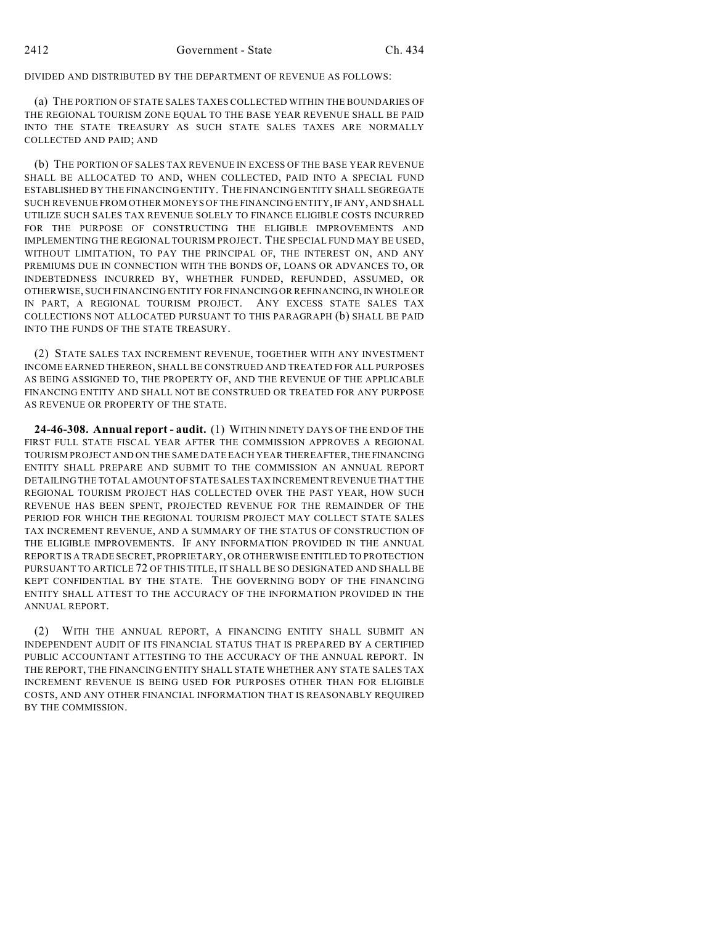DIVIDED AND DISTRIBUTED BY THE DEPARTMENT OF REVENUE AS FOLLOWS:

(a) THE PORTION OF STATE SALES TAXES COLLECTED WITHIN THE BOUNDARIES OF THE REGIONAL TOURISM ZONE EQUAL TO THE BASE YEAR REVENUE SHALL BE PAID INTO THE STATE TREASURY AS SUCH STATE SALES TAXES ARE NORMALLY COLLECTED AND PAID; AND

(b) THE PORTION OF SALES TAX REVENUE IN EXCESS OF THE BASE YEAR REVENUE SHALL BE ALLOCATED TO AND, WHEN COLLECTED, PAID INTO A SPECIAL FUND ESTABLISHED BY THE FINANCING ENTITY. THE FINANCING ENTITY SHALL SEGREGATE SUCH REVENUE FROM OTHER MONEYS OF THE FINANCING ENTITY, IF ANY, AND SHALL UTILIZE SUCH SALES TAX REVENUE SOLELY TO FINANCE ELIGIBLE COSTS INCURRED FOR THE PURPOSE OF CONSTRUCTING THE ELIGIBLE IMPROVEMENTS AND IMPLEMENTING THE REGIONAL TOURISM PROJECT. THE SPECIAL FUND MAY BE USED, WITHOUT LIMITATION, TO PAY THE PRINCIPAL OF, THE INTEREST ON, AND ANY PREMIUMS DUE IN CONNECTION WITH THE BONDS OF, LOANS OR ADVANCES TO, OR INDEBTEDNESS INCURRED BY, WHETHER FUNDED, REFUNDED, ASSUMED, OR OTHERWISE, SUCH FINANCING ENTITY FOR FINANCING OR REFINANCING, IN WHOLE OR IN PART, A REGIONAL TOURISM PROJECT. ANY EXCESS STATE SALES TAX COLLECTIONS NOT ALLOCATED PURSUANT TO THIS PARAGRAPH (b) SHALL BE PAID INTO THE FUNDS OF THE STATE TREASURY.

(2) STATE SALES TAX INCREMENT REVENUE, TOGETHER WITH ANY INVESTMENT INCOME EARNED THEREON, SHALL BE CONSTRUED AND TREATED FOR ALL PURPOSES AS BEING ASSIGNED TO, THE PROPERTY OF, AND THE REVENUE OF THE APPLICABLE FINANCING ENTITY AND SHALL NOT BE CONSTRUED OR TREATED FOR ANY PURPOSE AS REVENUE OR PROPERTY OF THE STATE.

**24-46-308. Annual report - audit.** (1) WITHIN NINETY DAYS OF THE END OF THE FIRST FULL STATE FISCAL YEAR AFTER THE COMMISSION APPROVES A REGIONAL TOURISM PROJECT AND ON THE SAME DATE EACH YEAR THEREAFTER, THE FINANCING ENTITY SHALL PREPARE AND SUBMIT TO THE COMMISSION AN ANNUAL REPORT DETAILING THE TOTAL AMOUNT OF STATE SALES TAX INCREMENT REVENUE THAT THE REGIONAL TOURISM PROJECT HAS COLLECTED OVER THE PAST YEAR, HOW SUCH REVENUE HAS BEEN SPENT, PROJECTED REVENUE FOR THE REMAINDER OF THE PERIOD FOR WHICH THE REGIONAL TOURISM PROJECT MAY COLLECT STATE SALES TAX INCREMENT REVENUE, AND A SUMMARY OF THE STATUS OF CONSTRUCTION OF THE ELIGIBLE IMPROVEMENTS. IF ANY INFORMATION PROVIDED IN THE ANNUAL REPORT IS A TRADE SECRET, PROPRIETARY, OR OTHERWISE ENTITLED TO PROTECTION PURSUANT TO ARTICLE 72 OF THIS TITLE, IT SHALL BE SO DESIGNATED AND SHALL BE KEPT CONFIDENTIAL BY THE STATE. THE GOVERNING BODY OF THE FINANCING ENTITY SHALL ATTEST TO THE ACCURACY OF THE INFORMATION PROVIDED IN THE ANNUAL REPORT.

(2) WITH THE ANNUAL REPORT, A FINANCING ENTITY SHALL SUBMIT AN INDEPENDENT AUDIT OF ITS FINANCIAL STATUS THAT IS PREPARED BY A CERTIFIED PUBLIC ACCOUNTANT ATTESTING TO THE ACCURACY OF THE ANNUAL REPORT. IN THE REPORT, THE FINANCING ENTITY SHALL STATE WHETHER ANY STATE SALES TAX INCREMENT REVENUE IS BEING USED FOR PURPOSES OTHER THAN FOR ELIGIBLE COSTS, AND ANY OTHER FINANCIAL INFORMATION THAT IS REASONABLY REQUIRED BY THE COMMISSION.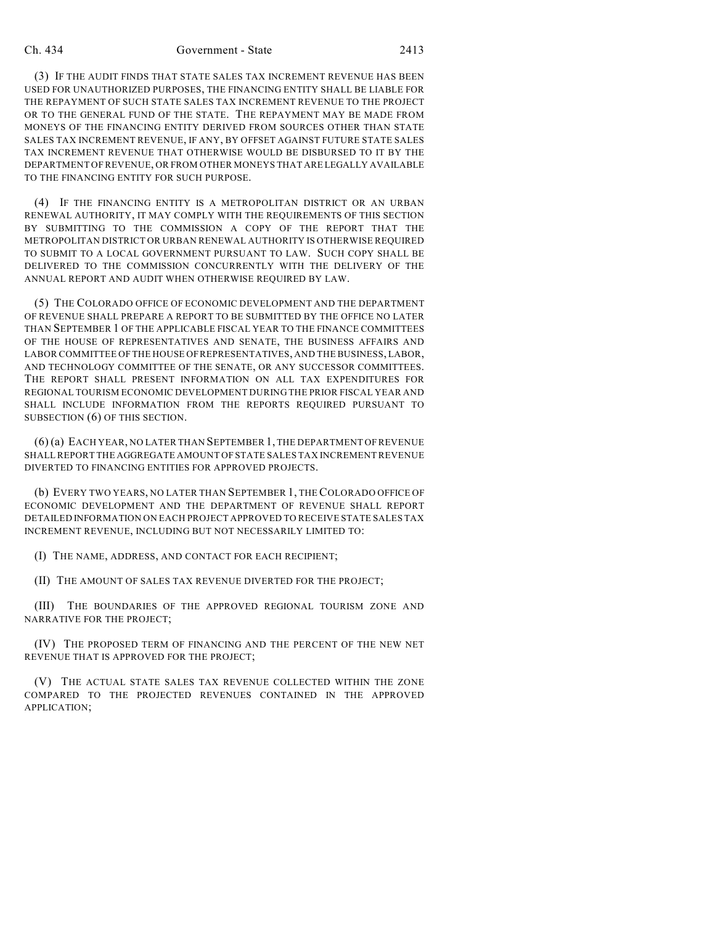(3) IF THE AUDIT FINDS THAT STATE SALES TAX INCREMENT REVENUE HAS BEEN USED FOR UNAUTHORIZED PURPOSES, THE FINANCING ENTITY SHALL BE LIABLE FOR THE REPAYMENT OF SUCH STATE SALES TAX INCREMENT REVENUE TO THE PROJECT OR TO THE GENERAL FUND OF THE STATE. THE REPAYMENT MAY BE MADE FROM MONEYS OF THE FINANCING ENTITY DERIVED FROM SOURCES OTHER THAN STATE SALES TAX INCREMENT REVENUE, IF ANY, BY OFFSET AGAINST FUTURE STATE SALES TAX INCREMENT REVENUE THAT OTHERWISE WOULD BE DISBURSED TO IT BY THE DEPARTMENT OF REVENUE, OR FROM OTHER MONEYS THAT ARE LEGALLY AVAILABLE TO THE FINANCING ENTITY FOR SUCH PURPOSE.

(4) IF THE FINANCING ENTITY IS A METROPOLITAN DISTRICT OR AN URBAN RENEWAL AUTHORITY, IT MAY COMPLY WITH THE REQUIREMENTS OF THIS SECTION BY SUBMITTING TO THE COMMISSION A COPY OF THE REPORT THAT THE METROPOLITAN DISTRICT OR URBAN RENEWAL AUTHORITY IS OTHERWISE REQUIRED TO SUBMIT TO A LOCAL GOVERNMENT PURSUANT TO LAW. SUCH COPY SHALL BE DELIVERED TO THE COMMISSION CONCURRENTLY WITH THE DELIVERY OF THE ANNUAL REPORT AND AUDIT WHEN OTHERWISE REQUIRED BY LAW.

(5) THE COLORADO OFFICE OF ECONOMIC DEVELOPMENT AND THE DEPARTMENT OF REVENUE SHALL PREPARE A REPORT TO BE SUBMITTED BY THE OFFICE NO LATER THAN SEPTEMBER 1 OF THE APPLICABLE FISCAL YEAR TO THE FINANCE COMMITTEES OF THE HOUSE OF REPRESENTATIVES AND SENATE, THE BUSINESS AFFAIRS AND LABOR COMMITTEE OF THE HOUSE OF REPRESENTATIVES, AND THE BUSINESS, LABOR, AND TECHNOLOGY COMMITTEE OF THE SENATE, OR ANY SUCCESSOR COMMITTEES. THE REPORT SHALL PRESENT INFORMATION ON ALL TAX EXPENDITURES FOR REGIONAL TOURISM ECONOMIC DEVELOPMENT DURING THE PRIOR FISCAL YEAR AND SHALL INCLUDE INFORMATION FROM THE REPORTS REQUIRED PURSUANT TO SUBSECTION (6) OF THIS SECTION.

(6) (a) EACH YEAR, NO LATER THAN SEPTEMBER 1, THE DEPARTMENT OF REVENUE SHALL REPORT THE AGGREGATE AMOUNT OF STATE SALES TAX INCREMENT REVENUE DIVERTED TO FINANCING ENTITIES FOR APPROVED PROJECTS.

(b) EVERY TWO YEARS, NO LATER THAN SEPTEMBER 1, THE COLORADO OFFICE OF ECONOMIC DEVELOPMENT AND THE DEPARTMENT OF REVENUE SHALL REPORT DETAILED INFORMATION ON EACH PROJECT APPROVED TO RECEIVE STATE SALES TAX INCREMENT REVENUE, INCLUDING BUT NOT NECESSARILY LIMITED TO:

(I) THE NAME, ADDRESS, AND CONTACT FOR EACH RECIPIENT;

(II) THE AMOUNT OF SALES TAX REVENUE DIVERTED FOR THE PROJECT;

(III) THE BOUNDARIES OF THE APPROVED REGIONAL TOURISM ZONE AND NARRATIVE FOR THE PROJECT;

(IV) THE PROPOSED TERM OF FINANCING AND THE PERCENT OF THE NEW NET REVENUE THAT IS APPROVED FOR THE PROJECT;

(V) THE ACTUAL STATE SALES TAX REVENUE COLLECTED WITHIN THE ZONE COMPARED TO THE PROJECTED REVENUES CONTAINED IN THE APPROVED APPLICATION;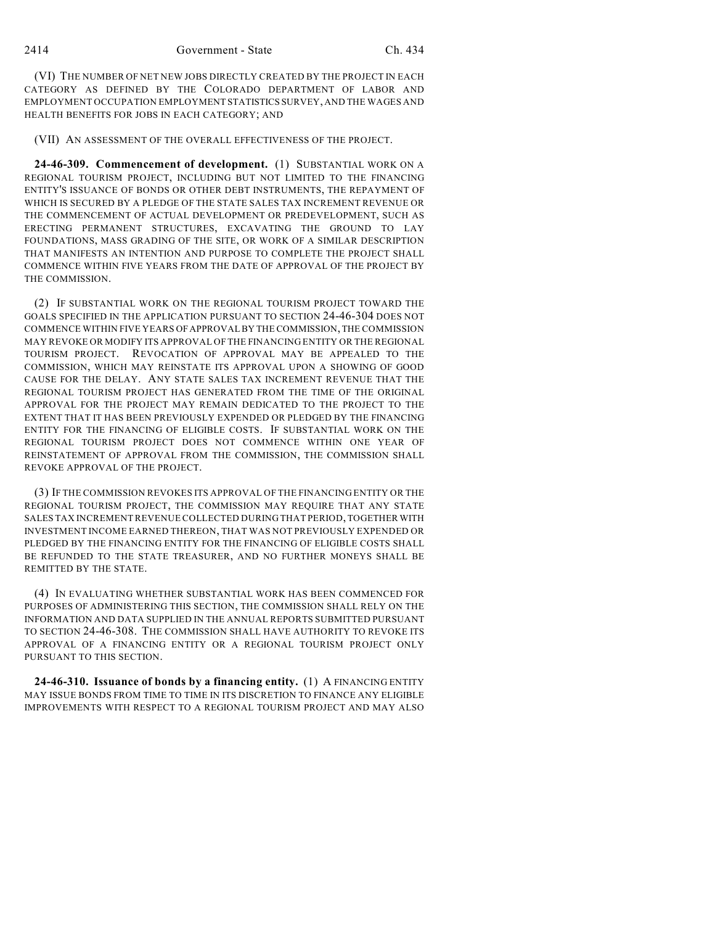(VI) THE NUMBER OF NET NEW JOBS DIRECTLY CREATED BY THE PROJECT IN EACH CATEGORY AS DEFINED BY THE COLORADO DEPARTMENT OF LABOR AND EMPLOYMENT OCCUPATION EMPLOYMENT STATISTICS SURVEY, AND THE WAGES AND HEALTH BENEFITS FOR JOBS IN EACH CATEGORY; AND

(VII) AN ASSESSMENT OF THE OVERALL EFFECTIVENESS OF THE PROJECT.

**24-46-309. Commencement of development.** (1) SUBSTANTIAL WORK ON A REGIONAL TOURISM PROJECT, INCLUDING BUT NOT LIMITED TO THE FINANCING ENTITY'S ISSUANCE OF BONDS OR OTHER DEBT INSTRUMENTS, THE REPAYMENT OF WHICH IS SECURED BY A PLEDGE OF THE STATE SALES TAX INCREMENT REVENUE OR THE COMMENCEMENT OF ACTUAL DEVELOPMENT OR PREDEVELOPMENT, SUCH AS ERECTING PERMANENT STRUCTURES, EXCAVATING THE GROUND TO LAY FOUNDATIONS, MASS GRADING OF THE SITE, OR WORK OF A SIMILAR DESCRIPTION THAT MANIFESTS AN INTENTION AND PURPOSE TO COMPLETE THE PROJECT SHALL COMMENCE WITHIN FIVE YEARS FROM THE DATE OF APPROVAL OF THE PROJECT BY THE COMMISSION.

(2) IF SUBSTANTIAL WORK ON THE REGIONAL TOURISM PROJECT TOWARD THE GOALS SPECIFIED IN THE APPLICATION PURSUANT TO SECTION 24-46-304 DOES NOT COMMENCE WITHIN FIVE YEARS OF APPROVAL BY THE COMMISSION, THE COMMISSION MAY REVOKE OR MODIFY ITS APPROVAL OF THE FINANCING ENTITY OR THE REGIONAL TOURISM PROJECT. REVOCATION OF APPROVAL MAY BE APPEALED TO THE COMMISSION, WHICH MAY REINSTATE ITS APPROVAL UPON A SHOWING OF GOOD CAUSE FOR THE DELAY. ANY STATE SALES TAX INCREMENT REVENUE THAT THE REGIONAL TOURISM PROJECT HAS GENERATED FROM THE TIME OF THE ORIGINAL APPROVAL FOR THE PROJECT MAY REMAIN DEDICATED TO THE PROJECT TO THE EXTENT THAT IT HAS BEEN PREVIOUSLY EXPENDED OR PLEDGED BY THE FINANCING ENTITY FOR THE FINANCING OF ELIGIBLE COSTS. IF SUBSTANTIAL WORK ON THE REGIONAL TOURISM PROJECT DOES NOT COMMENCE WITHIN ONE YEAR OF REINSTATEMENT OF APPROVAL FROM THE COMMISSION, THE COMMISSION SHALL REVOKE APPROVAL OF THE PROJECT.

(3) IF THE COMMISSION REVOKES ITS APPROVAL OF THE FINANCING ENTITY OR THE REGIONAL TOURISM PROJECT, THE COMMISSION MAY REQUIRE THAT ANY STATE SALES TAX INCREMENT REVENUE COLLECTED DURING THAT PERIOD, TOGETHER WITH INVESTMENT INCOME EARNED THEREON, THAT WAS NOT PREVIOUSLY EXPENDED OR PLEDGED BY THE FINANCING ENTITY FOR THE FINANCING OF ELIGIBLE COSTS SHALL BE REFUNDED TO THE STATE TREASURER, AND NO FURTHER MONEYS SHALL BE REMITTED BY THE STATE.

(4) IN EVALUATING WHETHER SUBSTANTIAL WORK HAS BEEN COMMENCED FOR PURPOSES OF ADMINISTERING THIS SECTION, THE COMMISSION SHALL RELY ON THE INFORMATION AND DATA SUPPLIED IN THE ANNUAL REPORTS SUBMITTED PURSUANT TO SECTION 24-46-308. THE COMMISSION SHALL HAVE AUTHORITY TO REVOKE ITS APPROVAL OF A FINANCING ENTITY OR A REGIONAL TOURISM PROJECT ONLY PURSUANT TO THIS SECTION.

**24-46-310. Issuance of bonds by a financing entity.** (1) A FINANCING ENTITY MAY ISSUE BONDS FROM TIME TO TIME IN ITS DISCRETION TO FINANCE ANY ELIGIBLE IMPROVEMENTS WITH RESPECT TO A REGIONAL TOURISM PROJECT AND MAY ALSO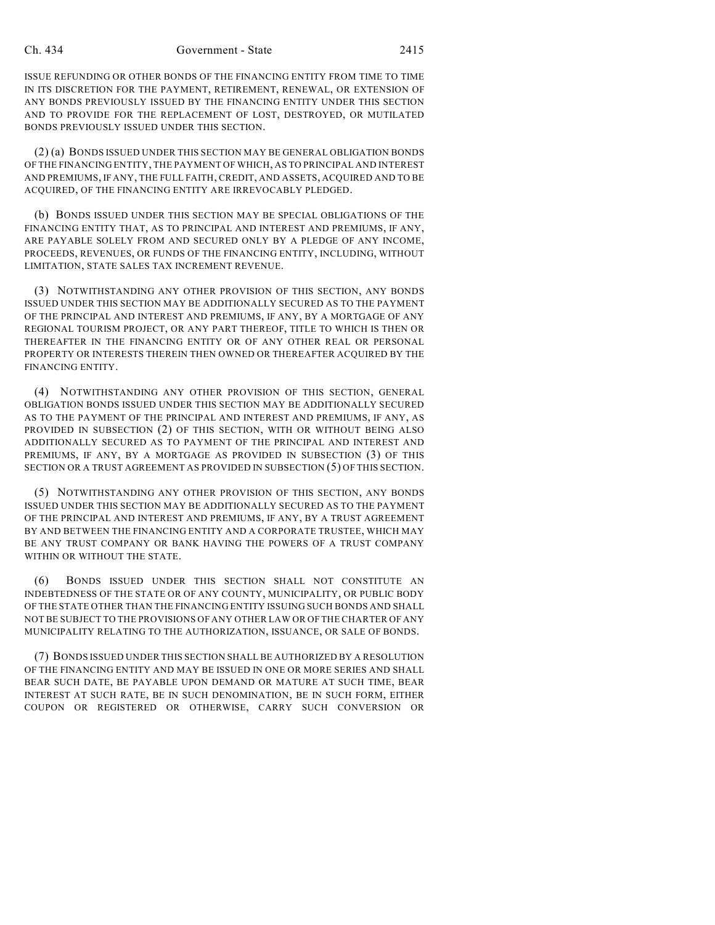ISSUE REFUNDING OR OTHER BONDS OF THE FINANCING ENTITY FROM TIME TO TIME IN ITS DISCRETION FOR THE PAYMENT, RETIREMENT, RENEWAL, OR EXTENSION OF ANY BONDS PREVIOUSLY ISSUED BY THE FINANCING ENTITY UNDER THIS SECTION AND TO PROVIDE FOR THE REPLACEMENT OF LOST, DESTROYED, OR MUTILATED BONDS PREVIOUSLY ISSUED UNDER THIS SECTION.

(2) (a) BONDS ISSUED UNDER THIS SECTION MAY BE GENERAL OBLIGATION BONDS OF THE FINANCING ENTITY, THE PAYMENT OF WHICH, AS TO PRINCIPAL AND INTEREST AND PREMIUMS, IF ANY, THE FULL FAITH, CREDIT, AND ASSETS, ACQUIRED AND TO BE ACQUIRED, OF THE FINANCING ENTITY ARE IRREVOCABLY PLEDGED.

(b) BONDS ISSUED UNDER THIS SECTION MAY BE SPECIAL OBLIGATIONS OF THE FINANCING ENTITY THAT, AS TO PRINCIPAL AND INTEREST AND PREMIUMS, IF ANY, ARE PAYABLE SOLELY FROM AND SECURED ONLY BY A PLEDGE OF ANY INCOME, PROCEEDS, REVENUES, OR FUNDS OF THE FINANCING ENTITY, INCLUDING, WITHOUT LIMITATION, STATE SALES TAX INCREMENT REVENUE.

(3) NOTWITHSTANDING ANY OTHER PROVISION OF THIS SECTION, ANY BONDS ISSUED UNDER THIS SECTION MAY BE ADDITIONALLY SECURED AS TO THE PAYMENT OF THE PRINCIPAL AND INTEREST AND PREMIUMS, IF ANY, BY A MORTGAGE OF ANY REGIONAL TOURISM PROJECT, OR ANY PART THEREOF, TITLE TO WHICH IS THEN OR THEREAFTER IN THE FINANCING ENTITY OR OF ANY OTHER REAL OR PERSONAL PROPERTY OR INTERESTS THEREIN THEN OWNED OR THEREAFTER ACQUIRED BY THE FINANCING ENTITY.

(4) NOTWITHSTANDING ANY OTHER PROVISION OF THIS SECTION, GENERAL OBLIGATION BONDS ISSUED UNDER THIS SECTION MAY BE ADDITIONALLY SECURED AS TO THE PAYMENT OF THE PRINCIPAL AND INTEREST AND PREMIUMS, IF ANY, AS PROVIDED IN SUBSECTION (2) OF THIS SECTION, WITH OR WITHOUT BEING ALSO ADDITIONALLY SECURED AS TO PAYMENT OF THE PRINCIPAL AND INTEREST AND PREMIUMS, IF ANY, BY A MORTGAGE AS PROVIDED IN SUBSECTION (3) OF THIS SECTION OR A TRUST AGREEMENT AS PROVIDED IN SUBSECTION (5) OF THIS SECTION.

(5) NOTWITHSTANDING ANY OTHER PROVISION OF THIS SECTION, ANY BONDS ISSUED UNDER THIS SECTION MAY BE ADDITIONALLY SECURED AS TO THE PAYMENT OF THE PRINCIPAL AND INTEREST AND PREMIUMS, IF ANY, BY A TRUST AGREEMENT BY AND BETWEEN THE FINANCING ENTITY AND A CORPORATE TRUSTEE, WHICH MAY BE ANY TRUST COMPANY OR BANK HAVING THE POWERS OF A TRUST COMPANY WITHIN OR WITHOUT THE STATE.

(6) BONDS ISSUED UNDER THIS SECTION SHALL NOT CONSTITUTE AN INDEBTEDNESS OF THE STATE OR OF ANY COUNTY, MUNICIPALITY, OR PUBLIC BODY OF THE STATE OTHER THAN THE FINANCING ENTITY ISSUING SUCH BONDS AND SHALL NOT BE SUBJECT TO THE PROVISIONS OF ANY OTHER LAW OR OFTHE CHARTER OF ANY MUNICIPALITY RELATING TO THE AUTHORIZATION, ISSUANCE, OR SALE OF BONDS.

(7) BONDS ISSUED UNDER THIS SECTION SHALL BE AUTHORIZED BY A RESOLUTION OF THE FINANCING ENTITY AND MAY BE ISSUED IN ONE OR MORE SERIES AND SHALL BEAR SUCH DATE, BE PAYABLE UPON DEMAND OR MATURE AT SUCH TIME, BEAR INTEREST AT SUCH RATE, BE IN SUCH DENOMINATION, BE IN SUCH FORM, EITHER COUPON OR REGISTERED OR OTHERWISE, CARRY SUCH CONVERSION OR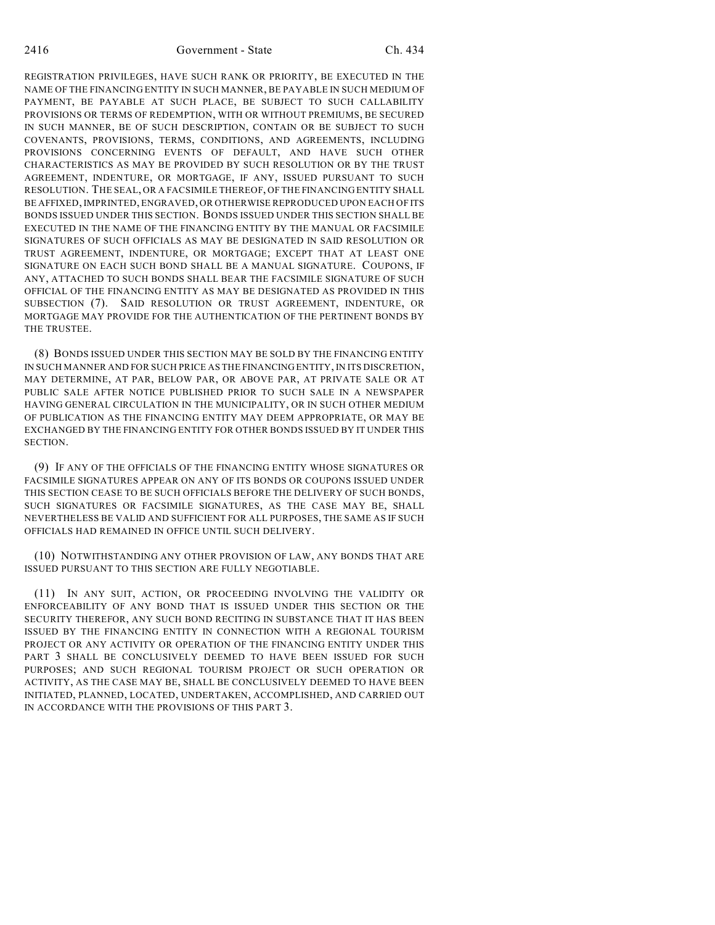2416 Government - State Ch. 434

REGISTRATION PRIVILEGES, HAVE SUCH RANK OR PRIORITY, BE EXECUTED IN THE NAME OF THE FINANCING ENTITY IN SUCH MANNER, BE PAYABLE IN SUCH MEDIUM OF PAYMENT, BE PAYABLE AT SUCH PLACE, BE SUBJECT TO SUCH CALLABILITY PROVISIONS OR TERMS OF REDEMPTION, WITH OR WITHOUT PREMIUMS, BE SECURED IN SUCH MANNER, BE OF SUCH DESCRIPTION, CONTAIN OR BE SUBJECT TO SUCH COVENANTS, PROVISIONS, TERMS, CONDITIONS, AND AGREEMENTS, INCLUDING PROVISIONS CONCERNING EVENTS OF DEFAULT, AND HAVE SUCH OTHER CHARACTERISTICS AS MAY BE PROVIDED BY SUCH RESOLUTION OR BY THE TRUST AGREEMENT, INDENTURE, OR MORTGAGE, IF ANY, ISSUED PURSUANT TO SUCH RESOLUTION. THE SEAL, OR A FACSIMILE THEREOF, OF THE FINANCING ENTITY SHALL BE AFFIXED, IMPRINTED, ENGRAVED, OR OTHERWISE REPRODUCED UPON EACH OF ITS BONDS ISSUED UNDER THIS SECTION. BONDS ISSUED UNDER THIS SECTION SHALL BE EXECUTED IN THE NAME OF THE FINANCING ENTITY BY THE MANUAL OR FACSIMILE SIGNATURES OF SUCH OFFICIALS AS MAY BE DESIGNATED IN SAID RESOLUTION OR TRUST AGREEMENT, INDENTURE, OR MORTGAGE; EXCEPT THAT AT LEAST ONE SIGNATURE ON EACH SUCH BOND SHALL BE A MANUAL SIGNATURE. COUPONS, IF ANY, ATTACHED TO SUCH BONDS SHALL BEAR THE FACSIMILE SIGNATURE OF SUCH OFFICIAL OF THE FINANCING ENTITY AS MAY BE DESIGNATED AS PROVIDED IN THIS SUBSECTION (7). SAID RESOLUTION OR TRUST AGREEMENT, INDENTURE, OR MORTGAGE MAY PROVIDE FOR THE AUTHENTICATION OF THE PERTINENT BONDS BY THE TRUSTEE.

(8) BONDS ISSUED UNDER THIS SECTION MAY BE SOLD BY THE FINANCING ENTITY IN SUCH MANNER AND FOR SUCH PRICE AS THE FINANCING ENTITY, IN ITS DISCRETION, MAY DETERMINE, AT PAR, BELOW PAR, OR ABOVE PAR, AT PRIVATE SALE OR AT PUBLIC SALE AFTER NOTICE PUBLISHED PRIOR TO SUCH SALE IN A NEWSPAPER HAVING GENERAL CIRCULATION IN THE MUNICIPALITY, OR IN SUCH OTHER MEDIUM OF PUBLICATION AS THE FINANCING ENTITY MAY DEEM APPROPRIATE, OR MAY BE EXCHANGED BY THE FINANCING ENTITY FOR OTHER BONDS ISSUED BY IT UNDER THIS SECTION.

(9) IF ANY OF THE OFFICIALS OF THE FINANCING ENTITY WHOSE SIGNATURES OR FACSIMILE SIGNATURES APPEAR ON ANY OF ITS BONDS OR COUPONS ISSUED UNDER THIS SECTION CEASE TO BE SUCH OFFICIALS BEFORE THE DELIVERY OF SUCH BONDS, SUCH SIGNATURES OR FACSIMILE SIGNATURES, AS THE CASE MAY BE, SHALL NEVERTHELESS BE VALID AND SUFFICIENT FOR ALL PURPOSES, THE SAME AS IF SUCH OFFICIALS HAD REMAINED IN OFFICE UNTIL SUCH DELIVERY.

(10) NOTWITHSTANDING ANY OTHER PROVISION OF LAW, ANY BONDS THAT ARE ISSUED PURSUANT TO THIS SECTION ARE FULLY NEGOTIABLE.

(11) IN ANY SUIT, ACTION, OR PROCEEDING INVOLVING THE VALIDITY OR ENFORCEABILITY OF ANY BOND THAT IS ISSUED UNDER THIS SECTION OR THE SECURITY THEREFOR, ANY SUCH BOND RECITING IN SUBSTANCE THAT IT HAS BEEN ISSUED BY THE FINANCING ENTITY IN CONNECTION WITH A REGIONAL TOURISM PROJECT OR ANY ACTIVITY OR OPERATION OF THE FINANCING ENTITY UNDER THIS PART 3 SHALL BE CONCLUSIVELY DEEMED TO HAVE BEEN ISSUED FOR SUCH PURPOSES; AND SUCH REGIONAL TOURISM PROJECT OR SUCH OPERATION OR ACTIVITY, AS THE CASE MAY BE, SHALL BE CONCLUSIVELY DEEMED TO HAVE BEEN INITIATED, PLANNED, LOCATED, UNDERTAKEN, ACCOMPLISHED, AND CARRIED OUT IN ACCORDANCE WITH THE PROVISIONS OF THIS PART 3.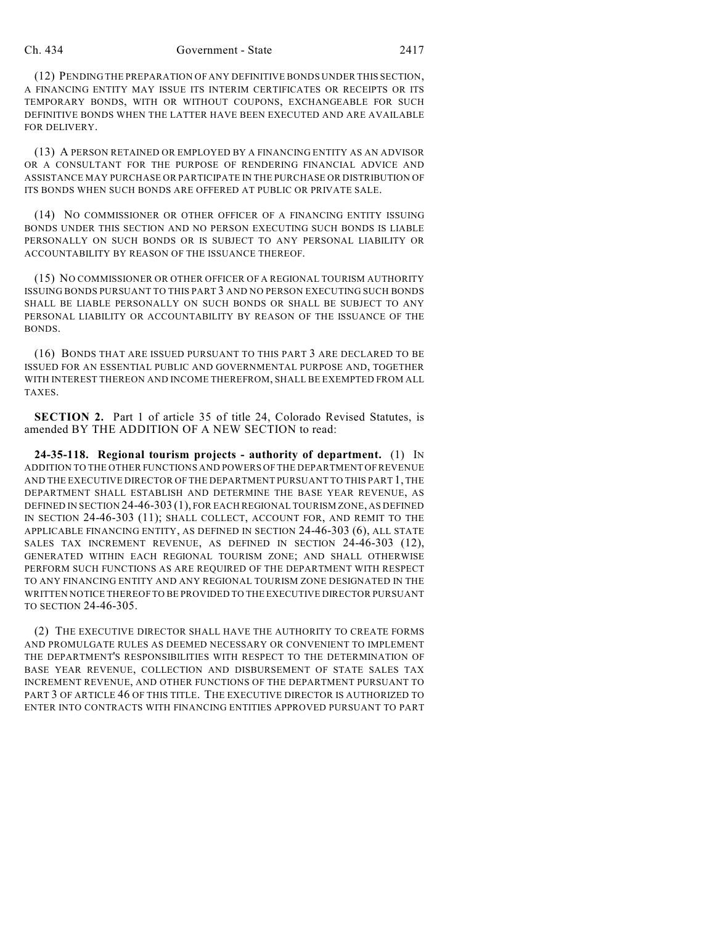(12) PENDING THE PREPARATION OF ANY DEFINITIVE BONDS UNDER THIS SECTION, A FINANCING ENTITY MAY ISSUE ITS INTERIM CERTIFICATES OR RECEIPTS OR ITS TEMPORARY BONDS, WITH OR WITHOUT COUPONS, EXCHANGEABLE FOR SUCH DEFINITIVE BONDS WHEN THE LATTER HAVE BEEN EXECUTED AND ARE AVAILABLE FOR DELIVERY.

(13) A PERSON RETAINED OR EMPLOYED BY A FINANCING ENTITY AS AN ADVISOR OR A CONSULTANT FOR THE PURPOSE OF RENDERING FINANCIAL ADVICE AND ASSISTANCE MAY PURCHASE OR PARTICIPATE IN THE PURCHASE OR DISTRIBUTION OF ITS BONDS WHEN SUCH BONDS ARE OFFERED AT PUBLIC OR PRIVATE SALE.

(14) NO COMMISSIONER OR OTHER OFFICER OF A FINANCING ENTITY ISSUING BONDS UNDER THIS SECTION AND NO PERSON EXECUTING SUCH BONDS IS LIABLE PERSONALLY ON SUCH BONDS OR IS SUBJECT TO ANY PERSONAL LIABILITY OR ACCOUNTABILITY BY REASON OF THE ISSUANCE THEREOF.

(15) NO COMMISSIONER OR OTHER OFFICER OF A REGIONAL TOURISM AUTHORITY ISSUING BONDS PURSUANT TO THIS PART 3 AND NO PERSON EXECUTING SUCH BONDS SHALL BE LIABLE PERSONALLY ON SUCH BONDS OR SHALL BE SUBJECT TO ANY PERSONAL LIABILITY OR ACCOUNTABILITY BY REASON OF THE ISSUANCE OF THE BONDS.

(16) BONDS THAT ARE ISSUED PURSUANT TO THIS PART 3 ARE DECLARED TO BE ISSUED FOR AN ESSENTIAL PUBLIC AND GOVERNMENTAL PURPOSE AND, TOGETHER WITH INTEREST THEREON AND INCOME THEREFROM, SHALL BE EXEMPTED FROM ALL **TAXES** 

**SECTION 2.** Part 1 of article 35 of title 24, Colorado Revised Statutes, is amended BY THE ADDITION OF A NEW SECTION to read:

**24-35-118. Regional tourism projects - authority of department.** (1) IN ADDITION TO THE OTHER FUNCTIONS AND POWERS OF THE DEPARTMENT OF REVENUE AND THE EXECUTIVE DIRECTOR OF THE DEPARTMENT PURSUANT TO THIS PART 1, THE DEPARTMENT SHALL ESTABLISH AND DETERMINE THE BASE YEAR REVENUE, AS DEFINED IN SECTION 24-46-303 (1), FOR EACH REGIONAL TOURISM ZONE, AS DEFINED IN SECTION 24-46-303 (11); SHALL COLLECT, ACCOUNT FOR, AND REMIT TO THE APPLICABLE FINANCING ENTITY, AS DEFINED IN SECTION 24-46-303 (6), ALL STATE SALES TAX INCREMENT REVENUE, AS DEFINED IN SECTION 24-46-303 (12), GENERATED WITHIN EACH REGIONAL TOURISM ZONE; AND SHALL OTHERWISE PERFORM SUCH FUNCTIONS AS ARE REQUIRED OF THE DEPARTMENT WITH RESPECT TO ANY FINANCING ENTITY AND ANY REGIONAL TOURISM ZONE DESIGNATED IN THE WRITTEN NOTICE THEREOF TO BE PROVIDED TO THE EXECUTIVE DIRECTOR PURSUANT TO SECTION 24-46-305.

(2) THE EXECUTIVE DIRECTOR SHALL HAVE THE AUTHORITY TO CREATE FORMS AND PROMULGATE RULES AS DEEMED NECESSARY OR CONVENIENT TO IMPLEMENT THE DEPARTMENT'S RESPONSIBILITIES WITH RESPECT TO THE DETERMINATION OF BASE YEAR REVENUE, COLLECTION AND DISBURSEMENT OF STATE SALES TAX INCREMENT REVENUE, AND OTHER FUNCTIONS OF THE DEPARTMENT PURSUANT TO PART 3 OF ARTICLE 46 OF THIS TITLE. THE EXECUTIVE DIRECTOR IS AUTHORIZED TO ENTER INTO CONTRACTS WITH FINANCING ENTITIES APPROVED PURSUANT TO PART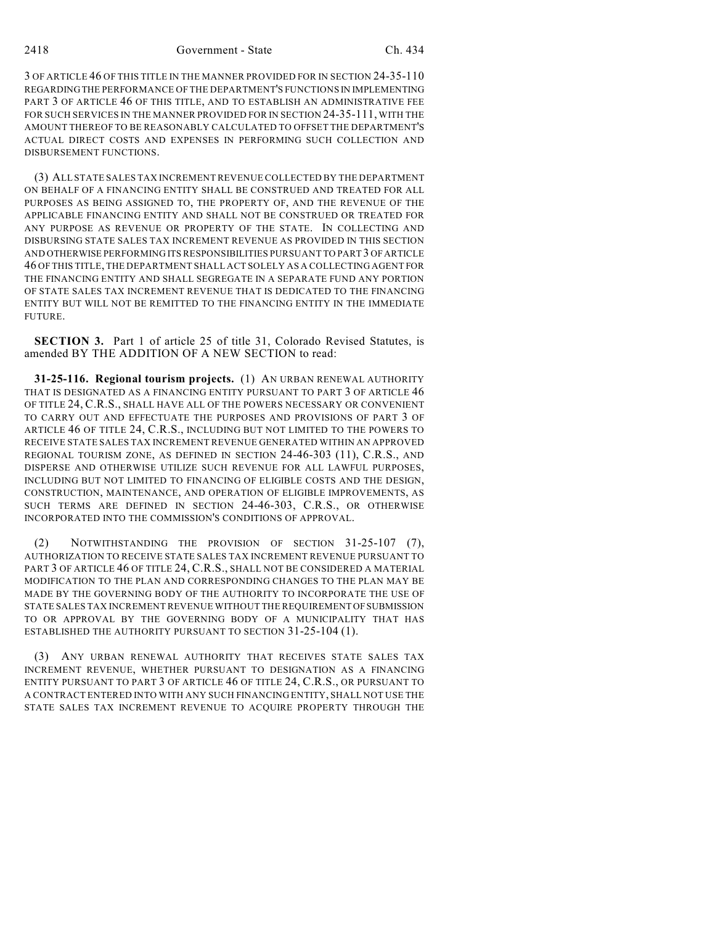3 OF ARTICLE 46 OF THIS TITLE IN THE MANNER PROVIDED FOR IN SECTION 24-35-110 REGARDING THE PERFORMANCE OF THE DEPARTMENT'S FUNCTIONS IN IMPLEMENTING PART 3 OF ARTICLE 46 OF THIS TITLE, AND TO ESTABLISH AN ADMINISTRATIVE FEE FOR SUCH SERVICES IN THE MANNER PROVIDED FOR IN SECTION 24-35-111, WITH THE AMOUNT THEREOF TO BE REASONABLY CALCULATED TO OFFSET THE DEPARTMENT'S ACTUAL DIRECT COSTS AND EXPENSES IN PERFORMING SUCH COLLECTION AND DISBURSEMENT FUNCTIONS.

(3) ALL STATE SALES TAX INCREMENT REVENUE COLLECTED BY THE DEPARTMENT ON BEHALF OF A FINANCING ENTITY SHALL BE CONSTRUED AND TREATED FOR ALL PURPOSES AS BEING ASSIGNED TO, THE PROPERTY OF, AND THE REVENUE OF THE APPLICABLE FINANCING ENTITY AND SHALL NOT BE CONSTRUED OR TREATED FOR ANY PURPOSE AS REVENUE OR PROPERTY OF THE STATE. IN COLLECTING AND DISBURSING STATE SALES TAX INCREMENT REVENUE AS PROVIDED IN THIS SECTION AND OTHERWISE PERFORMING ITS RESPONSIBILITIES PURSUANT TO PART 3 OF ARTICLE 46 OF THIS TITLE, THE DEPARTMENT SHALL ACT SOLELY AS A COLLECTING AGENT FOR THE FINANCING ENTITY AND SHALL SEGREGATE IN A SEPARATE FUND ANY PORTION OF STATE SALES TAX INCREMENT REVENUE THAT IS DEDICATED TO THE FINANCING ENTITY BUT WILL NOT BE REMITTED TO THE FINANCING ENTITY IN THE IMMEDIATE FUTURE.

**SECTION 3.** Part 1 of article 25 of title 31, Colorado Revised Statutes, is amended BY THE ADDITION OF A NEW SECTION to read:

**31-25-116. Regional tourism projects.** (1) AN URBAN RENEWAL AUTHORITY THAT IS DESIGNATED AS A FINANCING ENTITY PURSUANT TO PART 3 OF ARTICLE 46 OF TITLE 24, C.R.S., SHALL HAVE ALL OF THE POWERS NECESSARY OR CONVENIENT TO CARRY OUT AND EFFECTUATE THE PURPOSES AND PROVISIONS OF PART 3 OF ARTICLE 46 OF TITLE 24, C.R.S., INCLUDING BUT NOT LIMITED TO THE POWERS TO RECEIVE STATE SALES TAX INCREMENT REVENUE GENERATED WITHIN AN APPROVED REGIONAL TOURISM ZONE, AS DEFINED IN SECTION 24-46-303 (11), C.R.S., AND DISPERSE AND OTHERWISE UTILIZE SUCH REVENUE FOR ALL LAWFUL PURPOSES, INCLUDING BUT NOT LIMITED TO FINANCING OF ELIGIBLE COSTS AND THE DESIGN, CONSTRUCTION, MAINTENANCE, AND OPERATION OF ELIGIBLE IMPROVEMENTS, AS SUCH TERMS ARE DEFINED IN SECTION 24-46-303, C.R.S., OR OTHERWISE INCORPORATED INTO THE COMMISSION'S CONDITIONS OF APPROVAL.

(2) NOTWITHSTANDING THE PROVISION OF SECTION 31-25-107 (7), AUTHORIZATION TO RECEIVE STATE SALES TAX INCREMENT REVENUE PURSUANT TO PART 3 OF ARTICLE 46 OF TITLE 24, C.R.S., SHALL NOT BE CONSIDERED A MATERIAL MODIFICATION TO THE PLAN AND CORRESPONDING CHANGES TO THE PLAN MAY BE MADE BY THE GOVERNING BODY OF THE AUTHORITY TO INCORPORATE THE USE OF STATE SALES TAX INCREMENT REVENUE WITHOUT THE REQUIREMENT OF SUBMISSION TO OR APPROVAL BY THE GOVERNING BODY OF A MUNICIPALITY THAT HAS ESTABLISHED THE AUTHORITY PURSUANT TO SECTION 31-25-104 (1).

(3) ANY URBAN RENEWAL AUTHORITY THAT RECEIVES STATE SALES TAX INCREMENT REVENUE, WHETHER PURSUANT TO DESIGNATION AS A FINANCING ENTITY PURSUANT TO PART 3 OF ARTICLE 46 OF TITLE 24, C.R.S., OR PURSUANT TO A CONTRACT ENTERED INTO WITH ANY SUCH FINANCING ENTITY, SHALL NOT USE THE STATE SALES TAX INCREMENT REVENUE TO ACQUIRE PROPERTY THROUGH THE